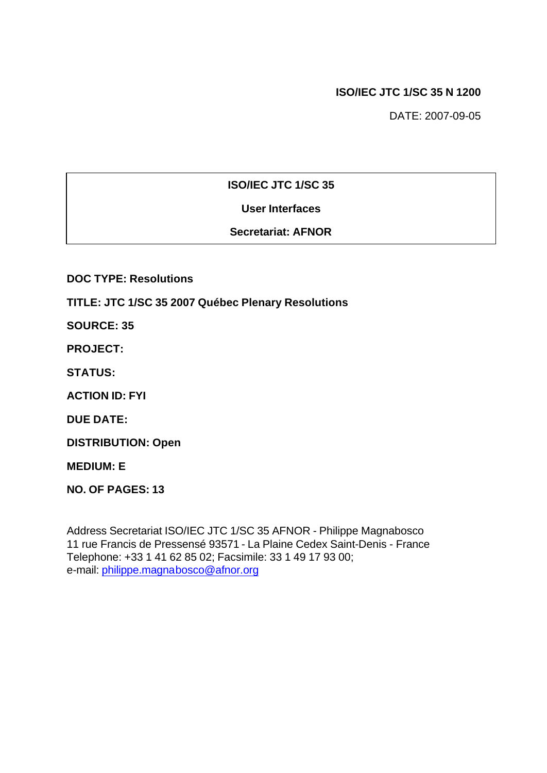# **ISO/IEC JTC 1/SC 35 N 1200**

DATE: 2007-09-05

# **ISO/IEC JTC 1/SC 35**

# **User Interfaces**

# **Secretariat: AFNOR**

**DOC TYPE: Resolutions**

**TITLE: JTC 1/SC 35 2007 Québec Plenary Resolutions**

**SOURCE: 35**

**PROJECT:**

**STATUS:**

**ACTION ID: FYI**

**DUE DATE:**

**DISTRIBUTION: Open**

**MEDIUM: E**

**NO. OF PAGES: 13**

Address Secretariat ISO/IEC JTC 1/SC 35 AFNOR - Philippe Magnabosco 11 rue Francis de Pressensé 93571 - La Plaine Cedex Saint-Denis - France Telephone: +33 1 41 62 85 02; Facsimile: 33 1 49 17 93 00; e-mail: philippe.magnabosco@afnor.org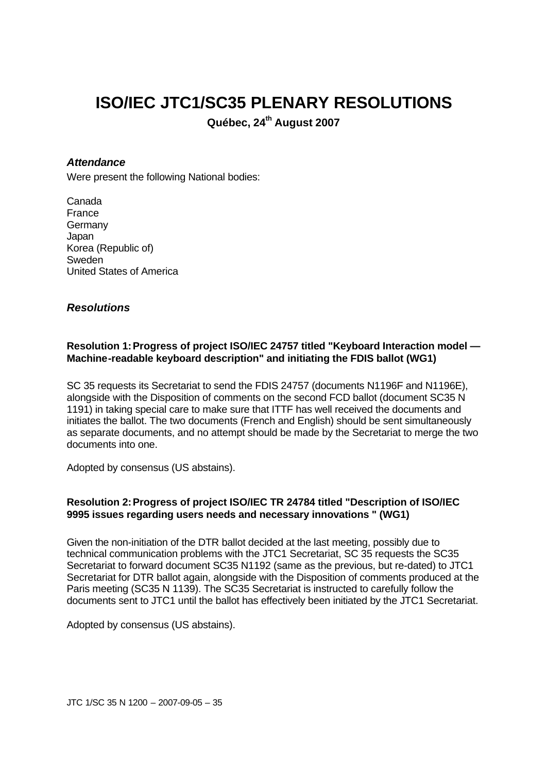# **ISO/IEC JTC1/SC35 PLENARY RESOLUTIONS**

**Québec, 24th August 2007**

# *Attendance*

Were present the following National bodies:

Canada France **Germany** Japan Korea (Republic of) Sweden United States of America

# *Resolutions*

# **Resolution 1:Progress of project ISO/IEC 24757 titled "Keyboard Interaction model — Machine-readable keyboard description" and initiating the FDIS ballot (WG1)**

SC 35 requests its Secretariat to send the FDIS 24757 (documents N1196F and N1196E), alongside with the Disposition of comments on the second FCD ballot (document SC35 N 1191) in taking special care to make sure that ITTF has well received the documents and initiates the ballot. The two documents (French and English) should be sent simultaneously as separate documents, and no attempt should be made by the Secretariat to merge the two documents into one.

Adopted by consensus (US abstains).

# **Resolution 2:Progress of project ISO/IEC TR 24784 titled "Description of ISO/IEC 9995 issues regarding users needs and necessary innovations " (WG1)**

Given the non-initiation of the DTR ballot decided at the last meeting, possibly due to technical communication problems with the JTC1 Secretariat, SC 35 requests the SC35 Secretariat to forward document SC35 N1192 (same as the previous, but re-dated) to JTC1 Secretariat for DTR ballot again, alongside with the Disposition of comments produced at the Paris meeting (SC35 N 1139). The SC35 Secretariat is instructed to carefully follow the documents sent to JTC1 until the ballot has effectively been initiated by the JTC1 Secretariat.

Adopted by consensus (US abstains).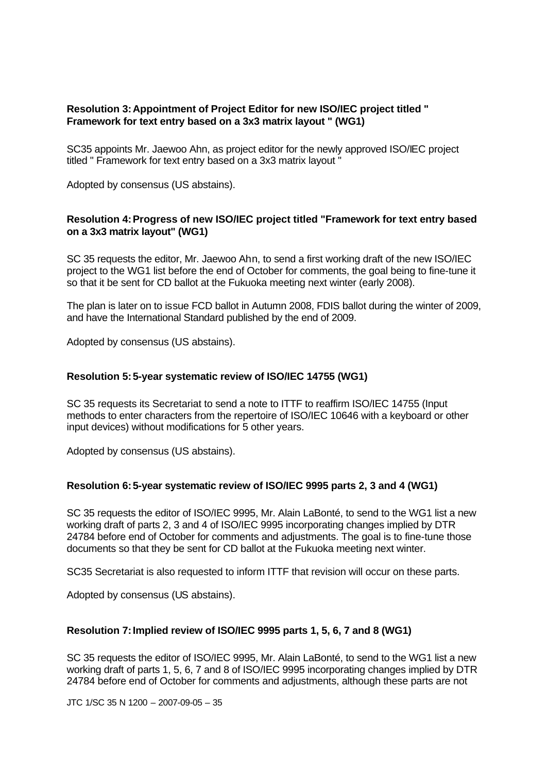# **Resolution 3:Appointment of Project Editor for new ISO/IEC project titled " Framework for text entry based on a 3x3 matrix layout " (WG1)**

SC35 appoints Mr. Jaewoo Ahn, as project editor for the newly approved ISO/IEC project titled " Framework for text entry based on a 3x3 matrix layout "

Adopted by consensus (US abstains).

# **Resolution 4:Progress of new ISO/IEC project titled "Framework for text entry based on a 3x3 matrix layout" (WG1)**

SC 35 requests the editor, Mr. Jaewoo Ahn, to send a first working draft of the new ISO/IEC project to the WG1 list before the end of October for comments, the goal being to fine-tune it so that it be sent for CD ballot at the Fukuoka meeting next winter (early 2008).

The plan is later on to issue FCD ballot in Autumn 2008, FDIS ballot during the winter of 2009, and have the International Standard published by the end of 2009.

Adopted by consensus (US abstains).

## **Resolution 5:5-year systematic review of ISO/IEC 14755 (WG1)**

SC 35 requests its Secretariat to send a note to ITTF to reaffirm ISO/IEC 14755 (Input methods to enter characters from the repertoire of ISO/IEC 10646 with a keyboard or other input devices) without modifications for 5 other years.

Adopted by consensus (US abstains).

## **Resolution 6:5-year systematic review of ISO/IEC 9995 parts 2, 3 and 4 (WG1)**

SC 35 requests the editor of ISO/IEC 9995, Mr. Alain LaBonté, to send to the WG1 list a new working draft of parts 2, 3 and 4 of ISO/IEC 9995 incorporating changes implied by DTR 24784 before end of October for comments and adjustments. The goal is to fine-tune those documents so that they be sent for CD ballot at the Fukuoka meeting next winter.

SC35 Secretariat is also requested to inform ITTF that revision will occur on these parts.

Adopted by consensus (US abstains).

## **Resolution 7:Implied review of ISO/IEC 9995 parts 1, 5, 6, 7 and 8 (WG1)**

SC 35 requests the editor of ISO/IEC 9995, Mr. Alain LaBonté, to send to the WG1 list a new working draft of parts 1, 5, 6, 7 and 8 of ISO/IEC 9995 incorporating changes implied by DTR 24784 before end of October for comments and adjustments, although these parts are not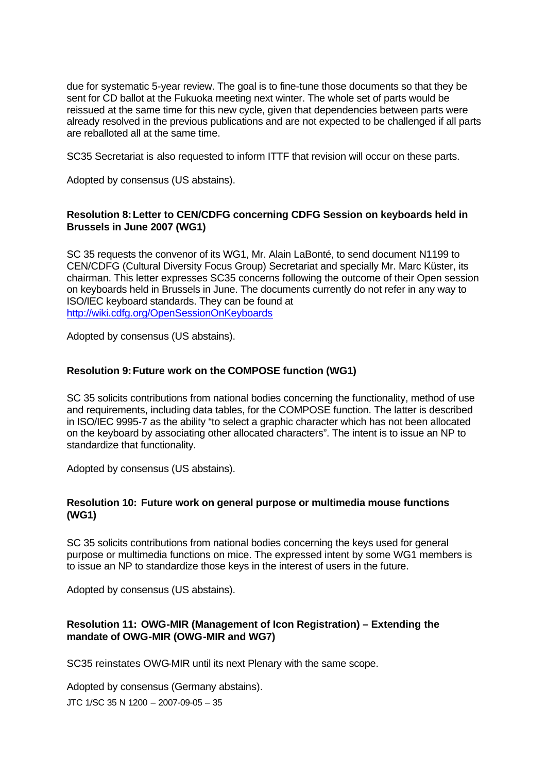due for systematic 5-year review. The goal is to fine-tune those documents so that they be sent for CD ballot at the Fukuoka meeting next winter. The whole set of parts would be reissued at the same time for this new cycle, given that dependencies between parts were already resolved in the previous publications and are not expected to be challenged if all parts are reballoted all at the same time.

SC35 Secretariat is also requested to inform ITTF that revision will occur on these parts.

Adopted by consensus (US abstains).

# **Resolution 8:Letter to CEN/CDFG concerning CDFG Session on keyboards held in Brussels in June 2007 (WG1)**

SC 35 requests the convenor of its WG1, Mr. Alain LaBonté, to send document N1199 to CEN/CDFG (Cultural Diversity Focus Group) Secretariat and specially Mr. Marc Küster, its chairman. This letter expresses SC35 concerns following the outcome of their Open session on keyboards held in Brussels in June. The documents currently do not refer in any way to ISO/IEC keyboard standards. They can be found at http://wiki.cdfg.org/OpenSessionOnKeyboards

Adopted by consensus (US abstains).

# **Resolution 9:Future work on the COMPOSE function (WG1)**

SC 35 solicits contributions from national bodies concerning the functionality, method of use and requirements, including data tables, for the COMPOSE function. The latter is described in ISO/IEC 9995-7 as the ability "to select a graphic character which has not been allocated on the keyboard by associating other allocated characters". The intent is to issue an NP to standardize that functionality.

Adopted by consensus (US abstains).

## **Resolution 10: Future work on general purpose or multimedia mouse functions (WG1)**

SC 35 solicits contributions from national bodies concerning the keys used for general purpose or multimedia functions on mice. The expressed intent by some WG1 members is to issue an NP to standardize those keys in the interest of users in the future.

Adopted by consensus (US abstains).

# **Resolution 11: OWG-MIR (Management of Icon Registration) – Extending the mandate of OWG-MIR (OWG-MIR and WG7)**

SC35 reinstates OWG-MIR until its next Plenary with the same scope.

JTC 1/SC 35 N 1200 – 2007-09-05 – 35 Adopted by consensus (Germany abstains).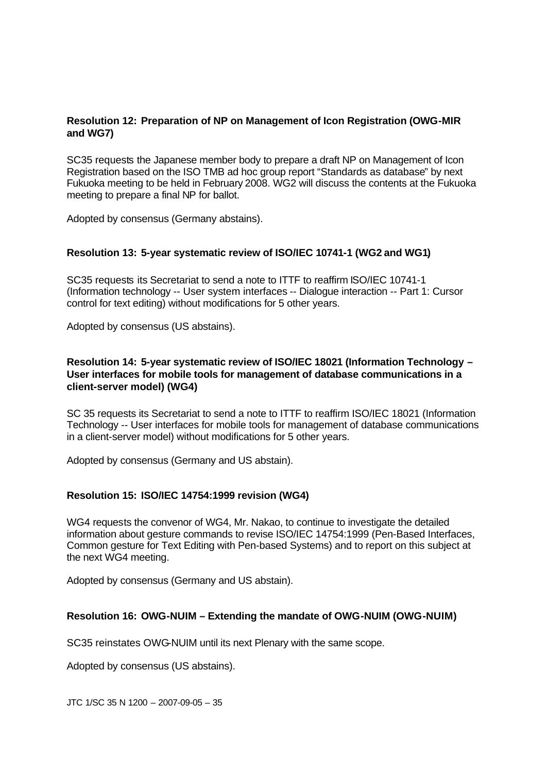# **Resolution 12: Preparation of NP on Management of Icon Registration (OWG-MIR and WG7)**

SC35 requests the Japanese member body to prepare a draft NP on Management of Icon Registration based on the ISO TMB ad hoc group report "Standards as database" by next Fukuoka meeting to be held in February 2008. WG2 will discuss the contents at the Fukuoka meeting to prepare a final NP for ballot.

Adopted by consensus (Germany abstains).

## **Resolution 13: 5-year systematic review of ISO/IEC 10741-1 (WG2 and WG1)**

SC35 requests its Secretariat to send a note to ITTF to reaffirm ISO/IEC 10741-1 (Information technology -- User system interfaces -- Dialogue interaction -- Part 1: Cursor control for text editing) without modifications for 5 other years.

Adopted by consensus (US abstains).

# **Resolution 14: 5-year systematic review of ISO/IEC 18021 (Information Technology – User interfaces for mobile tools for management of database communications in a client-server model) (WG4)**

SC 35 requests its Secretariat to send a note to ITTF to reaffirm ISO/IEC 18021 (Information Technology -- User interfaces for mobile tools for management of database communications in a client-server model) without modifications for 5 other years.

Adopted by consensus (Germany and US abstain).

## **Resolution 15: ISO/IEC 14754:1999 revision (WG4)**

WG4 requests the convenor of WG4, Mr. Nakao, to continue to investigate the detailed information about gesture commands to revise ISO/IEC 14754:1999 (Pen-Based Interfaces, Common gesture for Text Editing with Pen-based Systems) and to report on this subject at the next WG4 meeting.

Adopted by consensus (Germany and US abstain).

## **Resolution 16: OWG-NUIM – Extending the mandate of OWG-NUIM (OWG-NUIM)**

SC35 reinstates OWG-NUIM until its next Plenary with the same scope.

Adopted by consensus (US abstains).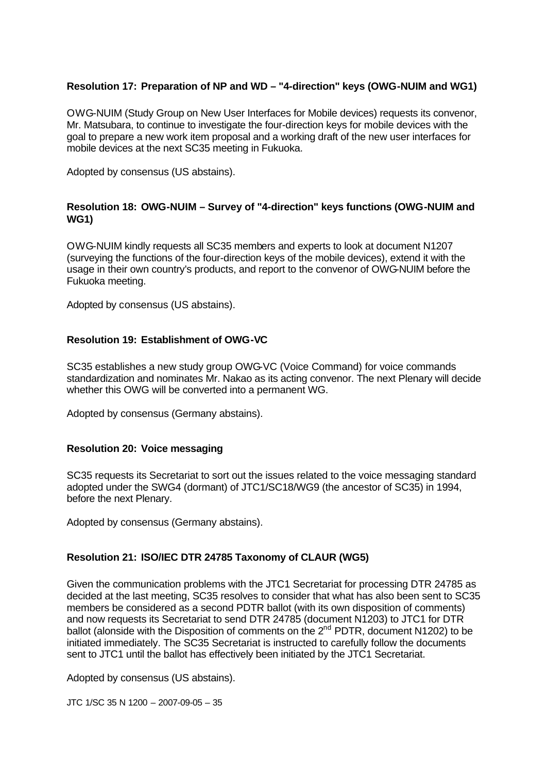# **Resolution 17: Preparation of NP and WD – "4-direction" keys (OWG-NUIM and WG1)**

OWG-NUIM (Study Group on New User Interfaces for Mobile devices) requests its convenor, Mr. Matsubara, to continue to investigate the four-direction keys for mobile devices with the goal to prepare a new work item proposal and a working draft of the new user interfaces for mobile devices at the next SC35 meeting in Fukuoka.

Adopted by consensus (US abstains).

# **Resolution 18: OWG-NUIM – Survey of "4-direction" keys functions (OWG-NUIM and WG1)**

OWG-NUIM kindly requests all SC35 members and experts to look at document N1207 (surveying the functions of the four-direction keys of the mobile devices), extend it with the usage in their own country's products, and report to the convenor of OWG-NUIM before the Fukuoka meeting.

Adopted by consensus (US abstains).

# **Resolution 19: Establishment of OWG-VC**

SC35 establishes a new study group OWG-VC (Voice Command) for voice commands standardization and nominates Mr. Nakao as its acting convenor. The next Plenary will decide whether this OWG will be converted into a permanent WG.

Adopted by consensus (Germany abstains).

## **Resolution 20: Voice messaging**

SC35 requests its Secretariat to sort out the issues related to the voice messaging standard adopted under the SWG4 (dormant) of JTC1/SC18/WG9 (the ancestor of SC35) in 1994, before the next Plenary.

Adopted by consensus (Germany abstains).

## **Resolution 21: ISO/IEC DTR 24785 Taxonomy of CLAUR (WG5)**

Given the communication problems with the JTC1 Secretariat for processing DTR 24785 as decided at the last meeting, SC35 resolves to consider that what has also been sent to SC35 members be considered as a second PDTR ballot (with its own disposition of comments) and now requests its Secretariat to send DTR 24785 (document N1203) to JTC1 for DTR ballot (alonside with the Disposition of comments on the 2<sup>nd</sup> PDTR, document N1202) to be initiated immediately. The SC35 Secretariat is instructed to carefully follow the documents sent to JTC1 until the ballot has effectively been initiated by the JTC1 Secretariat.

Adopted by consensus (US abstains).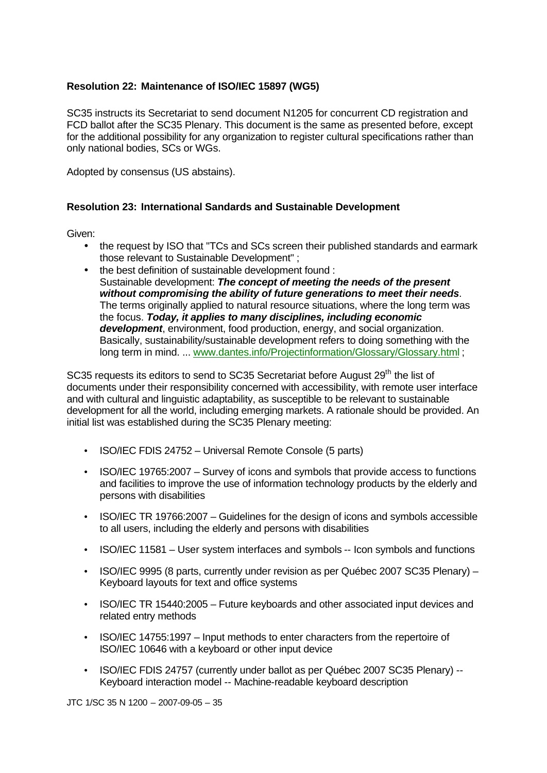# **Resolution 22: Maintenance of ISO/IEC 15897 (WG5)**

SC35 instructs its Secretariat to send document N1205 for concurrent CD registration and FCD ballot after the SC35 Plenary. This document is the same as presented before, except for the additional possibility for any organization to register cultural specifications rather than only national bodies, SCs or WGs.

Adopted by consensus (US abstains).

# **Resolution 23: International Sandards and Sustainable Development**

Given:

- the request by ISO that "TCs and SCs screen their published standards and earmark those relevant to Sustainable Development" ;
- the best definition of sustainable development found : Sustainable development: *The concept of meeting the needs of the present without compromising the ability of future generations to meet their needs*. The terms originally applied to natural resource situations, where the long term was the focus. *Today, it applies to many disciplines, including economic development*, environment, food production, energy, and social organization. Basically, sustainability/sustainable development refers to doing something with the long term in mind. ... www.dantes.info/Projectinformation/Glossary/Glossary.html ;

SC35 requests its editors to send to SC35 Secretariat before August 29<sup>th</sup> the list of documents under their responsibility concerned with accessibility, with remote user interface and with cultural and linguistic adaptability, as susceptible to be relevant to sustainable development for all the world, including emerging markets. A rationale should be provided. An initial list was established during the SC35 Plenary meeting:

- ISO/IEC FDIS 24752 Universal Remote Console (5 parts)
- ISO/IEC 19765:2007 Survey of icons and symbols that provide access to functions and facilities to improve the use of information technology products by the elderly and persons with disabilities
- ISO/IEC TR 19766:2007 Guidelines for the design of icons and symbols accessible to all users, including the elderly and persons with disabilities
- ISO/IEC 11581 User system interfaces and symbols -- Icon symbols and functions
- ISO/IEC 9995 (8 parts, currently under revision as per Québec 2007 SC35 Plenary) Keyboard layouts for text and office systems
- ISO/IEC TR 15440:2005 Future keyboards and other associated input devices and related entry methods
- ISO/IEC 14755:1997 Input methods to enter characters from the repertoire of ISO/IEC 10646 with a keyboard or other input device
- ISO/IEC FDIS 24757 (currently under ballot as per Québec 2007 SC35 Plenary) -- Keyboard interaction model -- Machine-readable keyboard description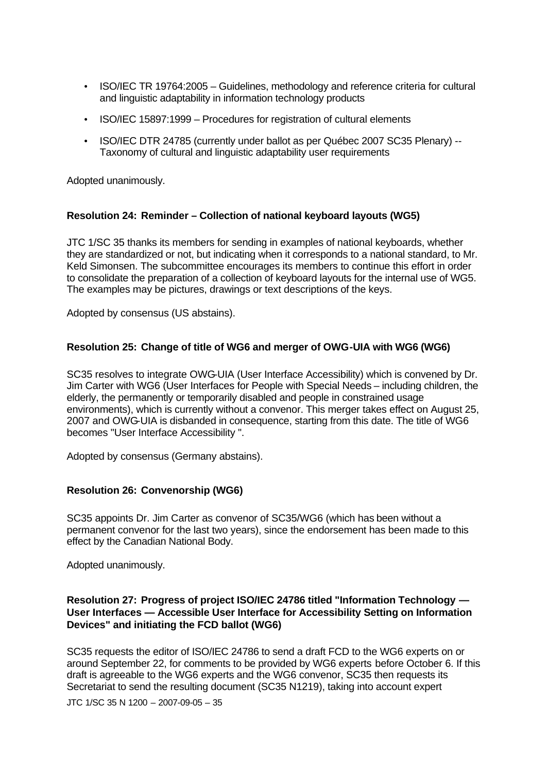- ISO/IEC TR 19764:2005 Guidelines, methodology and reference criteria for cultural and linguistic adaptability in information technology products
- ISO/IEC 15897:1999 Procedures for registration of cultural elements
- ISO/IEC DTR 24785 (currently under ballot as per Québec 2007 SC35 Plenary) -- Taxonomy of cultural and linguistic adaptability user requirements

Adopted unanimously.

#### **Resolution 24: Reminder – Collection of national keyboard layouts (WG5)**

JTC 1/SC 35 thanks its members for sending in examples of national keyboards, whether they are standardized or not, but indicating when it corresponds to a national standard, to Mr. Keld Simonsen. The subcommittee encourages its members to continue this effort in order to consolidate the preparation of a collection of keyboard layouts for the internal use of WG5. The examples may be pictures, drawings or text descriptions of the keys.

Adopted by consensus (US abstains).

#### **Resolution 25: Change of title of WG6 and merger of OWG-UIA with WG6 (WG6)**

SC35 resolves to integrate OWG-UIA (User Interface Accessibility) which is convened by Dr. Jim Carter with WG6 (User Interfaces for People with Special Needs – including children, the elderly, the permanently or temporarily disabled and people in constrained usage environments), which is currently without a convenor. This merger takes effect on August 25, 2007 and OWG-UIA is disbanded in consequence, starting from this date. The title of WG6 becomes "User Interface Accessibility ".

Adopted by consensus (Germany abstains).

# **Resolution 26: Convenorship (WG6)**

SC35 appoints Dr. Jim Carter as convenor of SC35/WG6 (which has been without a permanent convenor for the last two years), since the endorsement has been made to this effect by the Canadian National Body.

Adopted unanimously.

## **Resolution 27: Progress of project ISO/IEC 24786 titled "Information Technology — User Interfaces — Accessible User Interface for Accessibility Setting on Information Devices" and initiating the FCD ballot (WG6)**

SC35 requests the editor of ISO/IEC 24786 to send a draft FCD to the WG6 experts on or around September 22, for comments to be provided by WG6 experts before October 6. If this draft is agreeable to the WG6 experts and the WG6 convenor, SC35 then requests its Secretariat to send the resulting document (SC35 N1219), taking into account expert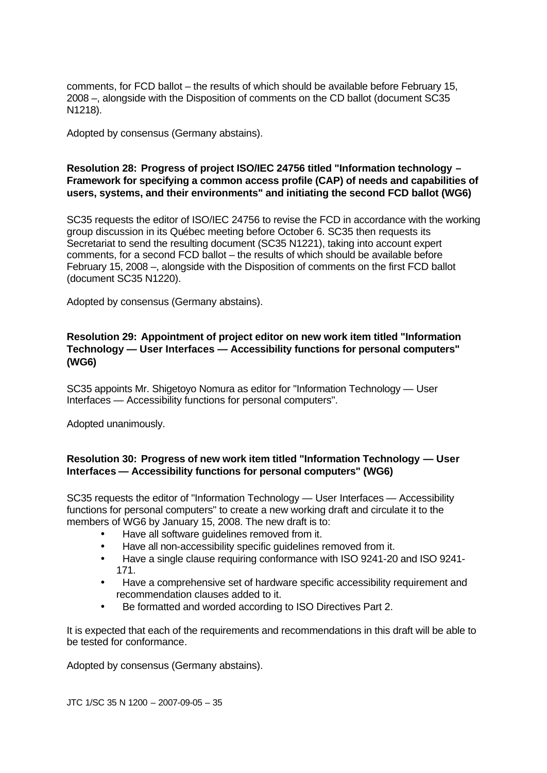comments, for FCD ballot – the results of which should be available before February 15, 2008 –, alongside with the Disposition of comments on the CD ballot (document SC35 N1218).

Adopted by consensus (Germany abstains).

# **Resolution 28: Progress of project ISO/IEC 24756 titled "Information technology – Framework for specifying a common access profile (CAP) of needs and capabilities of users, systems, and their environments" and initiating the second FCD ballot (WG6)**

SC35 requests the editor of ISO/IEC 24756 to revise the FCD in accordance with the working group discussion in its Québec meeting before October 6. SC35 then requests its Secretariat to send the resulting document (SC35 N1221), taking into account expert comments, for a second FCD ballot – the results of which should be available before February 15, 2008 –, alongside with the Disposition of comments on the first FCD ballot (document SC35 N1220).

Adopted by consensus (Germany abstains).

## **Resolution 29: Appointment of project editor on new work item titled "Information Technology — User Interfaces — Accessibility functions for personal computers" (WG6)**

SC35 appoints Mr. Shigetoyo Nomura as editor for "Information Technology — User Interfaces — Accessibility functions for personal computers".

Adopted unanimously.

# **Resolution 30: Progress of new work item titled "Information Technology — User Interfaces — Accessibility functions for personal computers" (WG6)**

SC35 requests the editor of "Information Technology — User Interfaces — Accessibility functions for personal computers" to create a new working draft and circulate it to the members of WG6 by January 15, 2008. The new draft is to:

- Have all software guidelines removed from it.
- Have all non-accessibility specific guidelines removed from it.
- Have a single clause requiring conformance with ISO 9241-20 and ISO 9241- 171.
- Have a comprehensive set of hardware specific accessibility requirement and recommendation clauses added to it.
- Be formatted and worded according to ISO Directives Part 2.

It is expected that each of the requirements and recommendations in this draft will be able to be tested for conformance.

Adopted by consensus (Germany abstains).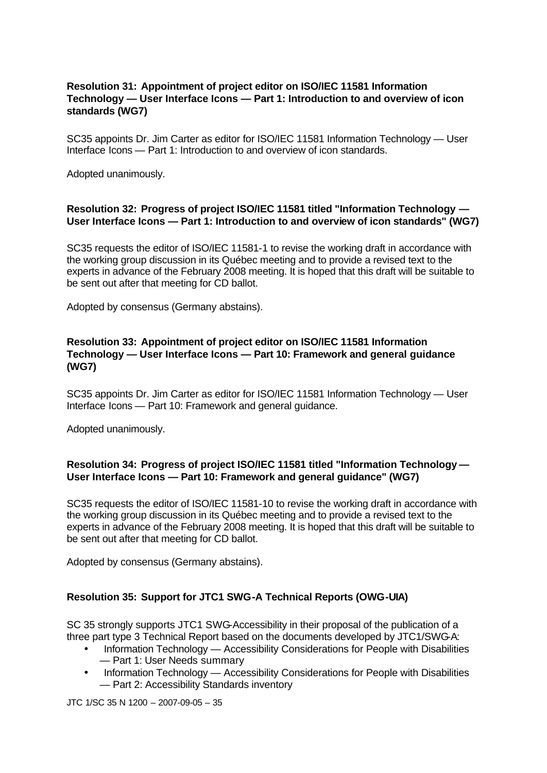# **Resolution 31: Appointment of project editor on ISO/IEC 11581 Information Technology — User Interface Icons — Part 1: Introduction to and overview of icon standards (WG7)**

SC35 appoints Dr. Jim Carter as editor for ISO/IEC 11581 Information Technology — User Interface Icons — Part 1: Introduction to and overview of icon standards.

Adopted unanimously.

## **Resolution 32: Progress of project ISO/IEC 11581 titled "Information Technology — User Interface Icons — Part 1: Introduction to and overview of icon standards" (WG7)**

SC35 requests the editor of ISO/IEC 11581-1 to revise the working draft in accordance with the working group discussion in its Québec meeting and to provide a revised text to the experts in advance of the February 2008 meeting. It is hoped that this draft will be suitable to be sent out after that meeting for CD ballot.

Adopted by consensus (Germany abstains).

# **Resolution 33: Appointment of project editor on ISO/IEC 11581 Information Technology — User Interface Icons — Part 10: Framework and general guidance (WG7)**

SC35 appoints Dr. Jim Carter as editor for ISO/IEC 11581 Information Technology — User Interface Icons — Part 10: Framework and general guidance.

Adopted unanimously.

# **Resolution 34: Progress of project ISO/IEC 11581 titled "Information Technology — User Interface Icons — Part 10: Framework and general guidance" (WG7)**

SC35 requests the editor of ISO/IEC 11581-10 to revise the working draft in accordance with the working group discussion in its Québec meeting and to provide a revised text to the experts in advance of the February 2008 meeting. It is hoped that this draft will be suitable to be sent out after that meeting for CD ballot.

Adopted by consensus (Germany abstains).

## **Resolution 35: Support for JTC1 SWG-A Technical Reports (OWG-UIA)**

SC 35 strongly supports JTC1 SWG-Accessibility in their proposal of the publication of a three part type 3 Technical Report based on the documents developed by JTC1/SWG-A:

- Information Technology Accessibility Considerations for People with Disabilities — Part 1: User Needs summary
- Information Technology Accessibility Considerations for People with Disabilities — Part 2: Accessibility Standards inventory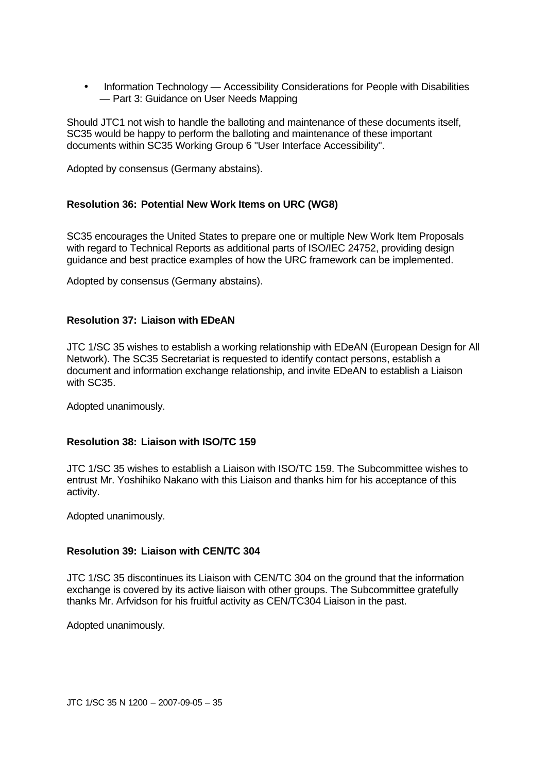• Information Technology — Accessibility Considerations for People with Disabilities — Part 3: Guidance on User Needs Mapping

Should JTC1 not wish to handle the balloting and maintenance of these documents itself, SC35 would be happy to perform the balloting and maintenance of these important documents within SC35 Working Group 6 "User Interface Accessibility".

Adopted by consensus (Germany abstains).

# **Resolution 36: Potential New Work Items on URC (WG8)**

SC35 encourages the United States to prepare one or multiple New Work Item Proposals with regard to Technical Reports as additional parts of ISO/IEC 24752, providing design guidance and best practice examples of how the URC framework can be implemented.

Adopted by consensus (Germany abstains).

## **Resolution 37: Liaison with EDeAN**

JTC 1/SC 35 wishes to establish a working relationship with EDeAN (European Design for All Network). The SC35 Secretariat is requested to identify contact persons, establish a document and information exchange relationship, and invite EDeAN to establish a Liaison with SC35.

Adopted unanimously.

## **Resolution 38: Liaison with ISO/TC 159**

JTC 1/SC 35 wishes to establish a Liaison with ISO/TC 159. The Subcommittee wishes to entrust Mr. Yoshihiko Nakano with this Liaison and thanks him for his acceptance of this activity.

Adopted unanimously.

#### **Resolution 39: Liaison with CEN/TC 304**

JTC 1/SC 35 discontinues its Liaison with CEN/TC 304 on the ground that the information exchange is covered by its active liaison with other groups. The Subcommittee gratefully thanks Mr. Arfvidson for his fruitful activity as CEN/TC304 Liaison in the past.

Adopted unanimously.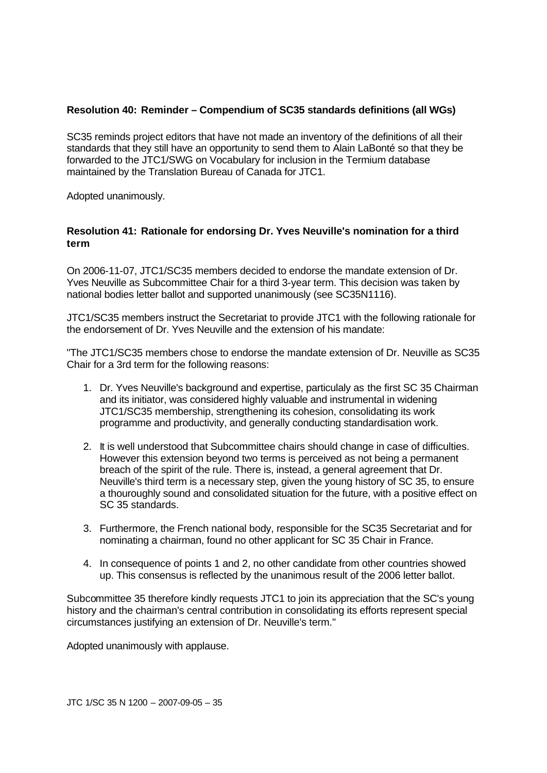# **Resolution 40: Reminder – Compendium of SC35 standards definitions (all WGs)**

SC35 reminds project editors that have not made an inventory of the definitions of all their standards that they still have an opportunity to send them to Alain LaBonté so that they be forwarded to the JTC1/SWG on Vocabulary for inclusion in the Termium database maintained by the Translation Bureau of Canada for JTC1.

Adopted unanimously.

## **Resolution 41: Rationale for endorsing Dr. Yves Neuville's nomination for a third term**

On 2006-11-07, JTC1/SC35 members decided to endorse the mandate extension of Dr. Yves Neuville as Subcommittee Chair for a third 3-year term. This decision was taken by national bodies letter ballot and supported unanimously (see SC35N1116).

JTC1/SC35 members instruct the Secretariat to provide JTC1 with the following rationale for the endorsement of Dr. Yves Neuville and the extension of his mandate:

"The JTC1/SC35 members chose to endorse the mandate extension of Dr. Neuville as SC35 Chair for a 3rd term for the following reasons:

- 1. Dr. Yves Neuville's background and expertise, particulaly as the first SC 35 Chairman and its initiator, was considered highly valuable and instrumental in widening JTC1/SC35 membership, strengthening its cohesion, consolidating its work programme and productivity, and generally conducting standardisation work.
- 2. It is well understood that Subcommittee chairs should change in case of difficulties. However this extension beyond two terms is perceived as not being a permanent breach of the spirit of the rule. There is, instead, a general agreement that Dr. Neuville's third term is a necessary step, given the young history of SC 35, to ensure a thouroughly sound and consolidated situation for the future, with a positive effect on SC 35 standards.
- 3. Furthermore, the French national body, responsible for the SC35 Secretariat and for nominating a chairman, found no other applicant for SC 35 Chair in France.
- 4. In consequence of points 1 and 2, no other candidate from other countries showed up. This consensus is reflected by the unanimous result of the 2006 letter ballot.

Subcommittee 35 therefore kindly requests JTC1 to join its appreciation that the SC's young history and the chairman's central contribution in consolidating its efforts represent special circumstances justifying an extension of Dr. Neuville's term."

Adopted unanimously with applause.